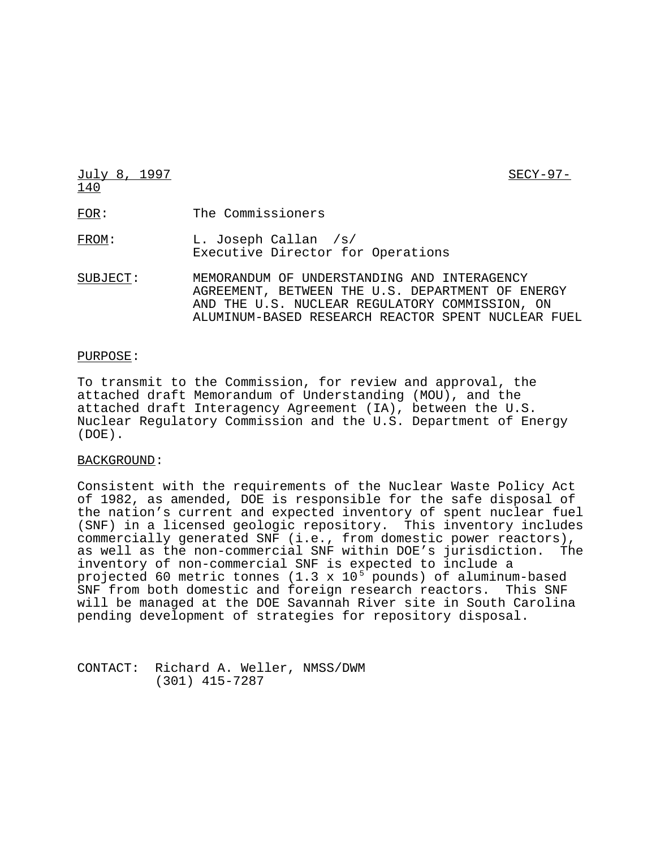July 8, 1997 SECY-97- 140 FOR: The Commissioners FROM: L. Joseph Callan /s/ Executive Director for Operations SUBJECT: MEMORANDUM OF UNDERSTANDING AND INTERAGENCY

# AGREEMENT, BETWEEN THE U.S. DEPARTMENT OF ENERGY AND THE U.S. NUCLEAR REGULATORY COMMISSION, ON ALUMINUM-BASED RESEARCH REACTOR SPENT NUCLEAR FUEL

#### PURPOSE:

To transmit to the Commission, for review and approval, the attached draft Memorandum of Understanding (MOU), and the attached draft Interagency Agreement (IA), between the U.S. Nuclear Regulatory Commission and the U.S. Department of Energy (DOE).

### BACKGROUND:

Consistent with the requirements of the Nuclear Waste Policy Act of 1982, as amended, DOE is responsible for the safe disposal of the nation's current and expected inventory of spent nuclear fuel (SNF) in a licensed geologic repository. This inventory includes commercially generated SNF (i.e., from domestic power reactors), as well as the non-commercial SNF within DOE's jurisdiction. The inventory of non-commercial SNF is expected to include a projected 60 metric tonnes (1.3 x 10<sup>5</sup> pounds) of aluminum-based SNF from both domestic and foreign research reactors. This SNF will be managed at the DOE Savannah River site in South Carolina pending development of strategies for repository disposal.

CONTACT: Richard A. Weller, NMSS/DWM (301) 415-7287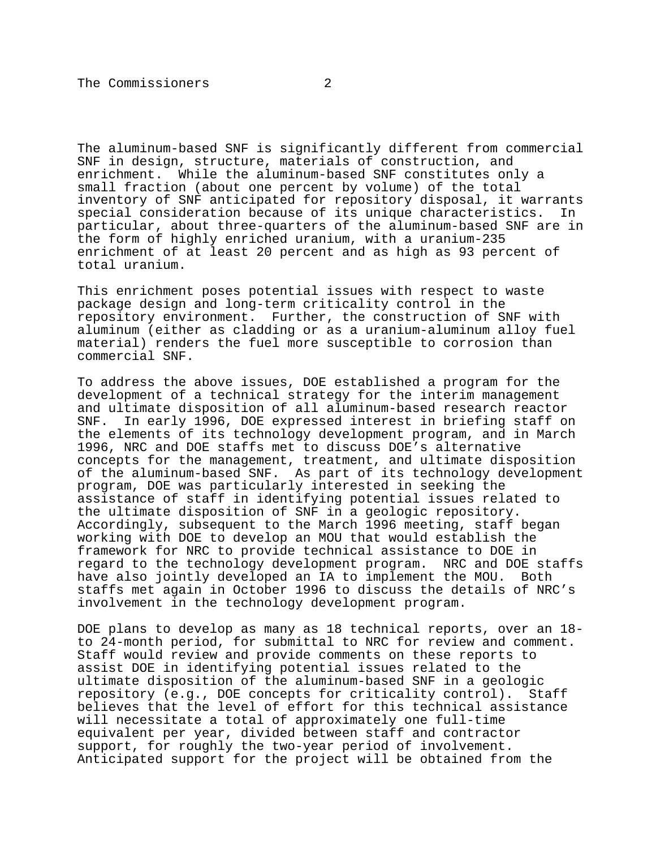The aluminum-based SNF is significantly different from commercial SNF in design, structure, materials of construction, and enrichment. While the aluminum-based SNF constitutes only a small fraction (about one percent by volume) of the total inventory of SNF anticipated for repository disposal, it warrants special consideration because of its unique characteristics. In particular, about three-quarters of the aluminum-based SNF are in the form of highly enriched uranium, with a uranium-235 enrichment of at least 20 percent and as high as 93 percent of total uranium.

This enrichment poses potential issues with respect to waste package design and long-term criticality control in the repository environment. Further, the construction of SNF with aluminum (either as cladding or as a uranium-aluminum alloy fuel material) renders the fuel more susceptible to corrosion than commercial SNF.

To address the above issues, DOE established a program for the development of a technical strategy for the interim management and ultimate disposition of all aluminum-based research reactor SNF. In early 1996, DOE expressed interest in briefing staff on the elements of its technology development program, and in March 1996, NRC and DOE staffs met to discuss DOE's alternative concepts for the management, treatment, and ultimate disposition of the aluminum-based SNF. As part of its technology development program, DOE was particularly interested in seeking the assistance of staff in identifying potential issues related to the ultimate disposition of SNF in a geologic repository. Accordingly, subsequent to the March 1996 meeting, staff began working with DOE to develop an MOU that would establish the framework for NRC to provide technical assistance to DOE in regard to the technology development program. NRC and DOE staffs have also jointly developed an IA to implement the MOU. Both staffs met again in October 1996 to discuss the details of NRC's involvement in the technology development program.

DOE plans to develop as many as 18 technical reports, over an 18 to 24-month period, for submittal to NRC for review and comment. Staff would review and provide comments on these reports to assist DOE in identifying potential issues related to the ultimate disposition of the aluminum-based SNF in a geologic repository (e.g., DOE concepts for criticality control). Staff believes that the level of effort for this technical assistance will necessitate a total of approximately one full-time equivalent per year, divided between staff and contractor support, for roughly the two-year period of involvement. Anticipated support for the project will be obtained from the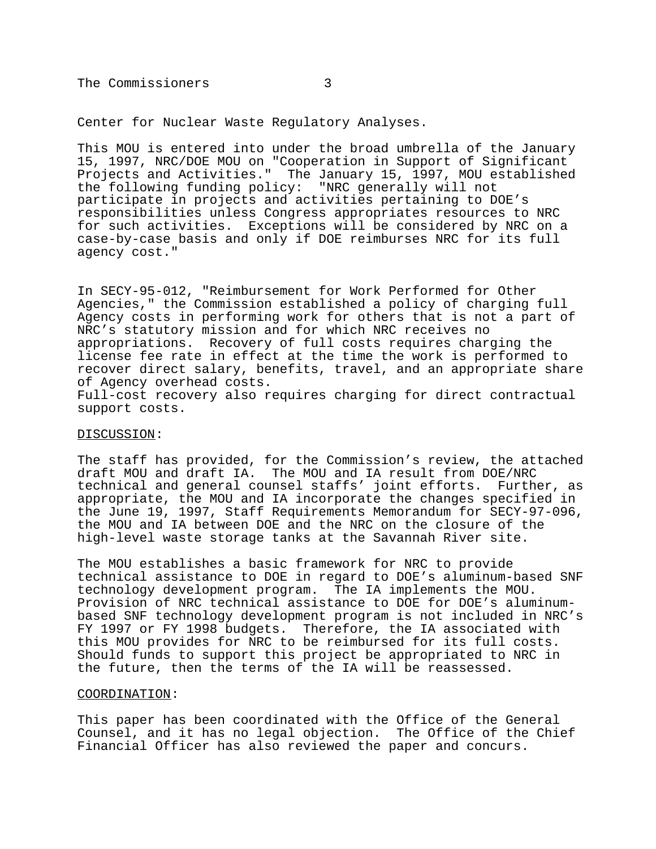The Commissioners 3

Center for Nuclear Waste Regulatory Analyses.

This MOU is entered into under the broad umbrella of the January 15, 1997, NRC/DOE MOU on "Cooperation in Support of Significant Projects and Activities." The January 15, 1997, MOU established the following funding policy: "NRC generally will not participate in projects and activities pertaining to DOE's responsibilities unless Congress appropriates resources to NRC for such activities. Exceptions will be considered by NRC on a case-by-case basis and only if DOE reimburses NRC for its full agency cost."

In SECY-95-012, "Reimbursement for Work Performed for Other Agencies," the Commission established a policy of charging full Agency costs in performing work for others that is not a part of NRC's statutory mission and for which NRC receives no appropriations. Recovery of full costs requires charging the license fee rate in effect at the time the work is performed to recover direct salary, benefits, travel, and an appropriate share of Agency overhead costs.

Full-cost recovery also requires charging for direct contractual support costs.

#### DISCUSSION:

The staff has provided, for the Commission's review, the attached draft MOU and draft IA. The MOU and IA result from DOE/NRC technical and general counsel staffs' joint efforts. Further, as appropriate, the MOU and IA incorporate the changes specified in the June 19, 1997, Staff Requirements Memorandum for SECY-97-096, the MOU and IA between DOE and the NRC on the closure of the high-level waste storage tanks at the Savannah River site.

The MOU establishes a basic framework for NRC to provide technical assistance to DOE in regard to DOE's aluminum-based SNF technology development program. The IA implements the MOU. Provision of NRC technical assistance to DOE for DOE's aluminumbased SNF technology development program is not included in NRC's FY 1997 or FY 1998 budgets. Therefore, the IA associated with this MOU provides for NRC to be reimbursed for its full costs. Should funds to support this project be appropriated to NRC in the future, then the terms of the IA will be reassessed.

#### COORDINATION:

This paper has been coordinated with the Office of the General Counsel, and it has no legal objection. The Office of the Chief Financial Officer has also reviewed the paper and concurs.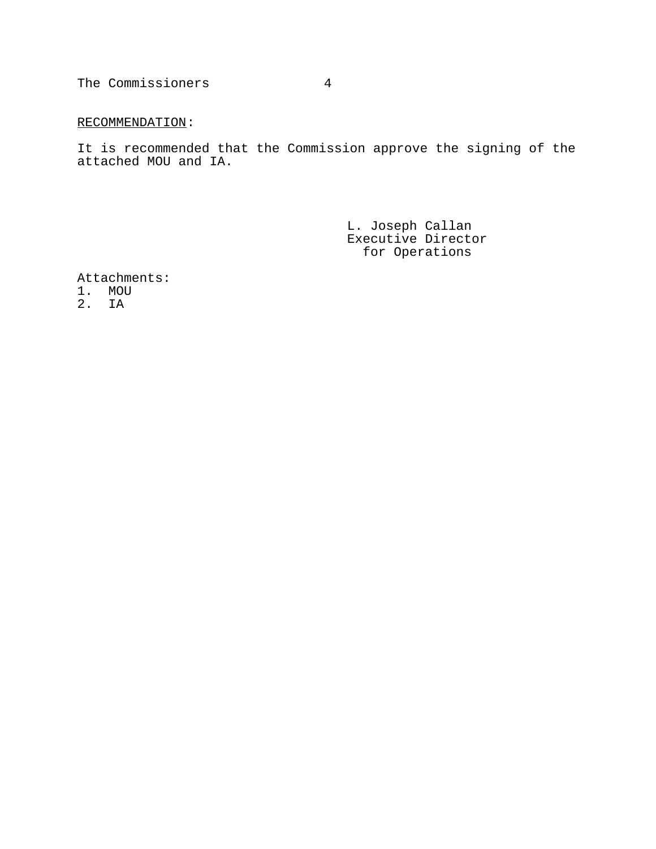The Commissioners 4

## RECOMMENDATION:

It is recommended that the Commission approve the signing of the attached MOU and IA.

> L. Joseph Callan Executive Director for Operations

Attachments:

1. MOU

2. IA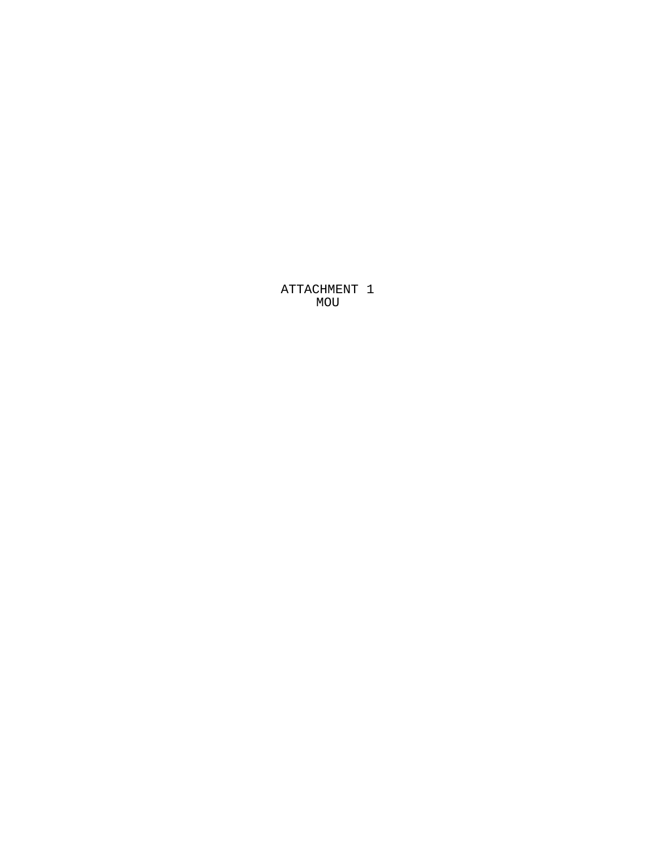ATTACHMENT 1 MOU